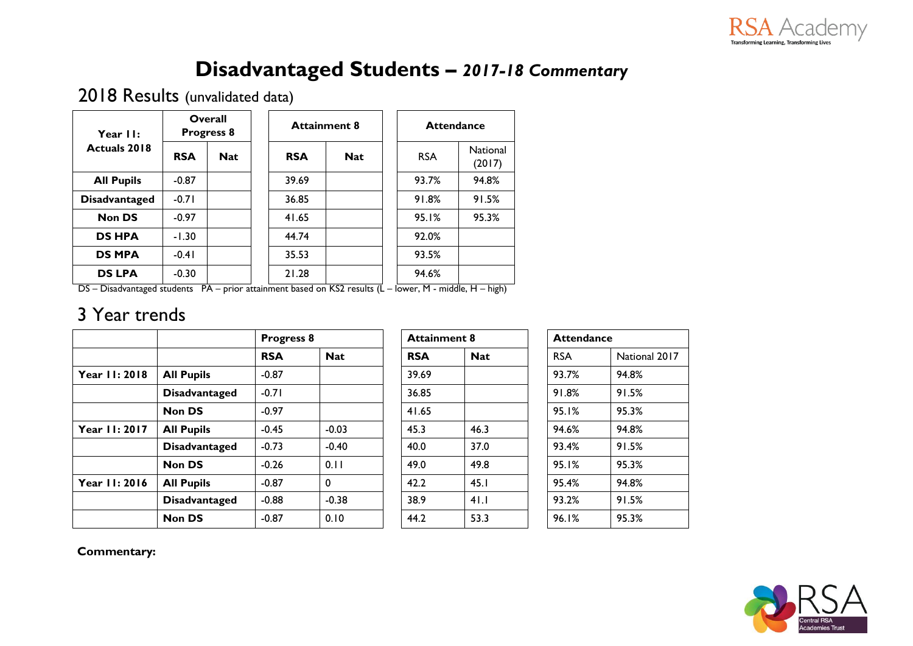

## **Disadvantaged Students –** *2017-18 Commentary*

2018 Results (unvalidated data)

| Year II:             | Overall<br><b>Progress 8</b> |            | <b>Attainment 8</b> |            |  | <b>Attendance</b> |                           |  |
|----------------------|------------------------------|------------|---------------------|------------|--|-------------------|---------------------------|--|
| <b>Actuals 2018</b>  | <b>RSA</b>                   | <b>Nat</b> | <b>RSA</b>          | <b>Nat</b> |  | <b>RSA</b>        | <b>National</b><br>(2017) |  |
| <b>All Pupils</b>    | $-0.87$                      |            | 39.69               |            |  | 93.7%             | 94.8%                     |  |
| <b>Disadvantaged</b> | $-0.71$                      |            | 36.85               |            |  | 91.8%             | 91.5%                     |  |
| <b>Non DS</b>        | $-0.97$                      |            | 41.65               |            |  | 95.1%             | 95.3%                     |  |
| <b>DS HPA</b>        | $-1.30$                      |            | 44.74               |            |  | 92.0%             |                           |  |
| <b>DS MPA</b>        | $-0.41$                      |            | 35.53               |            |  | 93.5%             |                           |  |
| <b>DS LPA</b>        | $-0.30$                      |            | 21.28               |            |  | 94.6%             |                           |  |

DS – Disadvantaged students PA – prior attainment based on KS2 results (L – lower, M - middle, H – high)

### 3 Year trends

|              |                      |            | <b>Progress 8</b> |            | <b>Attainment 8</b> |            | <b>Attendance</b> |  |
|--------------|----------------------|------------|-------------------|------------|---------------------|------------|-------------------|--|
|              |                      | <b>RSA</b> | <b>Nat</b>        | <b>RSA</b> | <b>Nat</b>          | <b>RSA</b> | National 2017     |  |
| Year 11:2018 | <b>All Pupils</b>    | $-0.87$    |                   | 39.69      |                     | 93.7%      | 94.8%             |  |
|              | <b>Disadvantaged</b> | $-0.71$    |                   | 36.85      |                     | 91.8%      | 91.5%             |  |
|              | <b>Non DS</b>        | $-0.97$    |                   | 41.65      |                     | 95.1%      | 95.3%             |  |
| Year 11:2017 | <b>All Pupils</b>    | $-0.45$    | $-0.03$           | 45.3       | 46.3                | 94.6%      | 94.8%             |  |
|              | <b>Disadvantaged</b> | $-0.73$    | $-0.40$           | 40.0       | 37.0                | 93.4%      | 91.5%             |  |
|              | <b>Non DS</b>        | $-0.26$    | 0.11              | 49.0       | 49.8                | 95.1%      | 95.3%             |  |
| Year 11:2016 | <b>All Pupils</b>    | $-0.87$    | $\mathbf 0$       | 42.2       | 45.1                | 95.4%      | 94.8%             |  |
|              | <b>Disadvantaged</b> | $-0.88$    | $-0.38$           | 38.9       | 41.1                | 93.2%      | 91.5%             |  |
|              | <b>Non DS</b>        | $-0.87$    | 0.10              | 44.2       | 53.3                | 96.1%      | 95.3%             |  |

|  | <b>Attendance</b> |            |
|--|-------------------|------------|
|  | RSA               | National 2 |
|  | 93.7%             | 94.8%      |
|  | 91.8%             | 91.5%      |
|  | 95.1%             | 95.3%      |
|  | 94.6%             | 94.8%      |
|  | 93.4%             | 91.5%      |
|  | 95.1%             | 95.3%      |
|  | 95.4%             | 94.8%      |
|  | 93.2%             | 91.5%      |
|  | 96.1%             | 95.3%      |
|  |                   |            |

**Commentary:** 

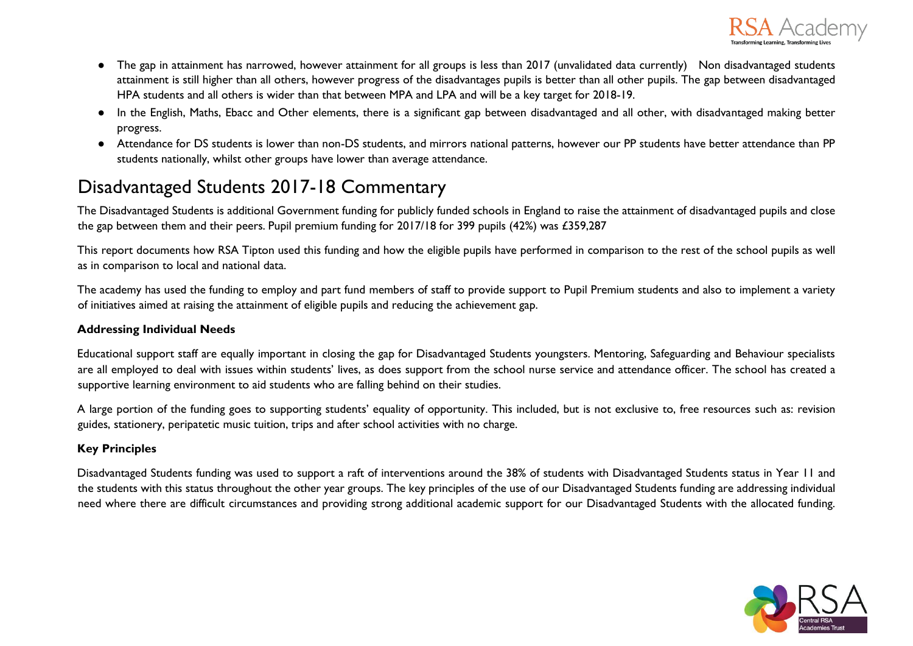

- The gap in attainment has narrowed, however attainment for all groups is less than 2017 (unvalidated data currently) Non disadvantaged students attainment is still higher than all others, however progress of the disadvantages pupils is better than all other pupils. The gap between disadvantaged HPA students and all others is wider than that between MPA and LPA and will be a key target for 2018-19.
- In the English, Maths, Ebacc and Other elements, there is a significant gap between disadvantaged and all other, with disadvantaged making better progress.
- Attendance for DS students is lower than non-DS students, and mirrors national patterns, however our PP students have better attendance than PP students nationally, whilst other groups have lower than average attendance.

## Disadvantaged Students 2017-18 Commentary

The Disadvantaged Students is additional Government funding for publicly funded schools in England to raise the attainment of disadvantaged pupils and close the gap between them and their peers. Pupil premium funding for 2017/18 for 399 pupils (42%) was £359,287

This report documents how RSA Tipton used this funding and how the eligible pupils have performed in comparison to the rest of the school pupils as well as in comparison to local and national data.

The academy has used the funding to employ and part fund members of staff to provide support to Pupil Premium students and also to implement a variety of initiatives aimed at raising the attainment of eligible pupils and reducing the achievement gap.

#### **Addressing Individual Needs**

Educational support staff are equally important in closing the gap for Disadvantaged Students youngsters. Mentoring, Safeguarding and Behaviour specialists are all employed to deal with issues within students' lives, as does support from the school nurse service and attendance officer. The school has created a supportive learning environment to aid students who are falling behind on their studies.

A large portion of the funding goes to supporting students' equality of opportunity. This included, but is not exclusive to, free resources such as: revision guides, stationery, peripatetic music tuition, trips and after school activities with no charge.

### **Key Principles**

Disadvantaged Students funding was used to support a raft of interventions around the 38% of students with Disadvantaged Students status in Year 11 and the students with this status throughout the other year groups. The key principles of the use of our Disadvantaged Students funding are addressing individual need where there are difficult circumstances and providing strong additional academic support for our Disadvantaged Students with the allocated funding.

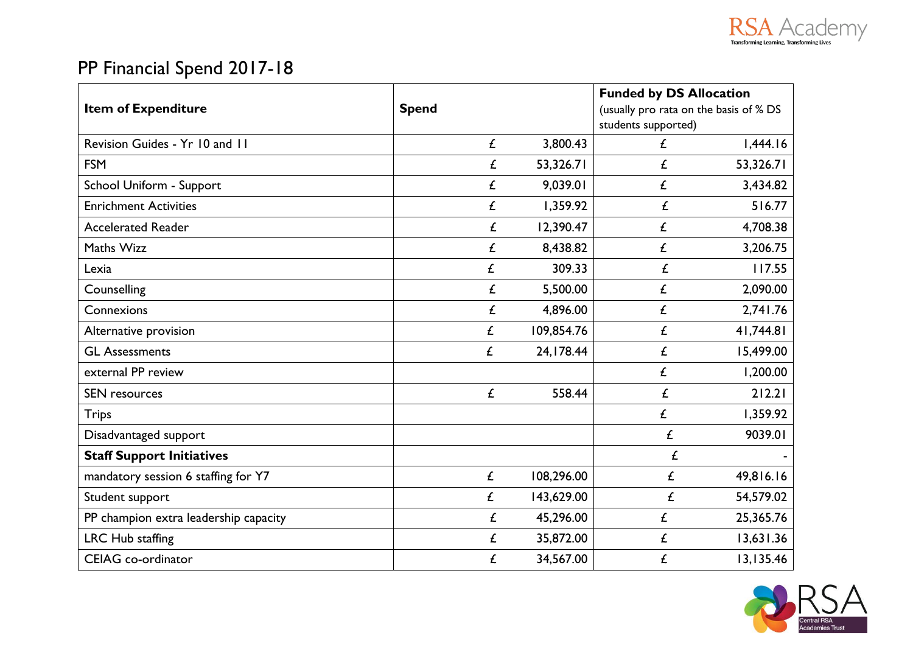

# PP Financial Spend 2017-18

|                                       |              |            | <b>Funded by DS Allocation</b>                                |           |
|---------------------------------------|--------------|------------|---------------------------------------------------------------|-----------|
| <b>Item of Expenditure</b>            | <b>Spend</b> |            | (usually pro rata on the basis of % DS<br>students supported) |           |
| Revision Guides - Yr 10 and 11        | £            | 3,800.43   | £                                                             | 1,444.16  |
| <b>FSM</b>                            | £            | 53,326.71  | £                                                             | 53,326.71 |
| School Uniform - Support              | £            | 9,039.01   | £                                                             | 3,434.82  |
| <b>Enrichment Activities</b>          | £            | 1,359.92   | £                                                             | 516.77    |
| <b>Accelerated Reader</b>             | £            | 12,390.47  | £                                                             | 4,708.38  |
| Maths Wizz                            | £            | 8,438.82   | £                                                             | 3,206.75  |
| Lexia                                 | £            | 309.33     | £                                                             | 117.55    |
| Counselling                           | £            | 5,500.00   | £                                                             | 2,090.00  |
| Connexions                            | £            | 4,896.00   | £                                                             | 2,741.76  |
| Alternative provision                 | £            | 109,854.76 | £                                                             | 41,744.81 |
| <b>GL Assessments</b>                 | £            | 24,178.44  | £                                                             | 15,499.00 |
| external PP review                    |              |            | £                                                             | 1,200.00  |
| <b>SEN</b> resources                  | £            | 558.44     | £                                                             | 212.21    |
| <b>Trips</b>                          |              |            | £                                                             | 1,359.92  |
| Disadvantaged support                 |              |            | £                                                             | 9039.01   |
| <b>Staff Support Initiatives</b>      |              |            | £                                                             |           |
| mandatory session 6 staffing for Y7   | £            | 108,296.00 | £                                                             | 49,816.16 |
| Student support                       | £            | 143,629.00 | £                                                             | 54,579.02 |
| PP champion extra leadership capacity | £            | 45,296.00  | £                                                             | 25,365.76 |
| LRC Hub staffing                      | £            | 35,872.00  | £                                                             | 13,631.36 |
| <b>CEIAG</b> co-ordinator             | £            | 34,567.00  | £                                                             | 13,135.46 |

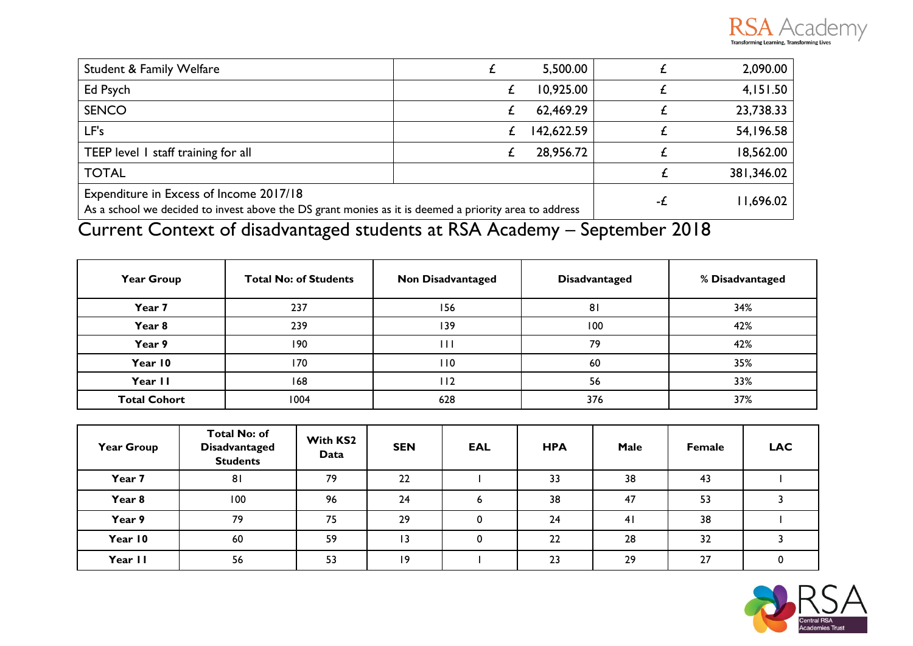

| <b>Student &amp; Family Welfare</b>                                                                                                              | 5,500.00   |           | 2,090.00   |
|--------------------------------------------------------------------------------------------------------------------------------------------------|------------|-----------|------------|
| Ed Psych                                                                                                                                         | 10,925.00  |           | 4,151.50   |
| <b>SENCO</b>                                                                                                                                     | 62,469.29  |           | 23,738.33  |
| LF's                                                                                                                                             | 142,622.59 |           | 54,196.58  |
| TEEP level 1 staff training for all                                                                                                              | 28,956.72  |           | 18,562.00  |
| <b>TOTAL</b>                                                                                                                                     |            |           | 381,346.02 |
| Expenditure in Excess of Income 2017/18<br>As a school we decided to invest above the DS grant monies as it is deemed a priority area to address | -£         | 11,696.02 |            |

# Current Context of disadvantaged students at RSA Academy – September 2018

| <b>Year Group</b>   | <b>Total No: of Students</b> | <b>Non Disadvantaged</b> | <b>Disadvantaged</b> |     |
|---------------------|------------------------------|--------------------------|----------------------|-----|
| Year 7              | 237                          | 156                      | 81                   | 34% |
| Year 8              | 239                          | 139                      | 100                  | 42% |
| Year 9              | 190                          |                          | 79                   | 42% |
| Year 10             | 170                          | l 10                     | 60                   | 35% |
| Year II             | 168                          | l 12                     | 56                   | 33% |
| <b>Total Cohort</b> | 1004                         | 628                      | 376                  | 37% |

| <b>Year Group</b> | <b>Total No: of</b><br><b>Disadvantaged</b><br><b>Students</b> | With KS2<br>Data | <b>SEN</b> | EAL | <b>HPA</b> | Male | <b>Female</b> | <b>LAC</b> |
|-------------------|----------------------------------------------------------------|------------------|------------|-----|------------|------|---------------|------------|
| Year 7            | 81                                                             | 79               | 22         |     | 33         | 38   | 43            |            |
| Year 8            | 100                                                            | 96               | 24         | 6   | 38         | 47   | 53            |            |
| Year 9            | 79                                                             | 75               | 29         | 0   | 24         | 41   | 38            |            |
| Year 10           | 60                                                             | 59               | 13         | 0   | 22         | 28   | 32            |            |
| Year II           | 56                                                             | 53               | 9          |     | 23         | 29   | 27            |            |

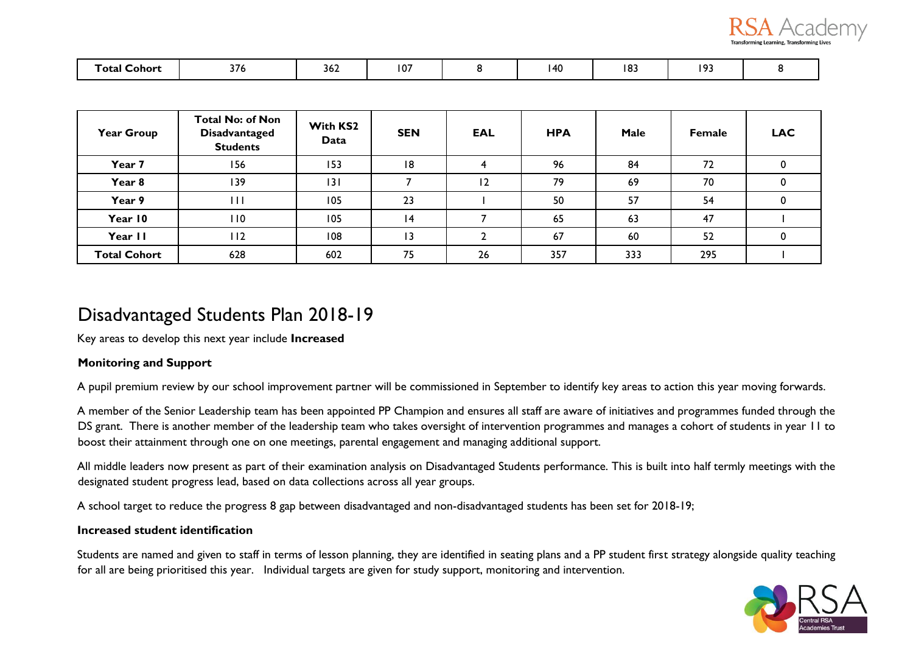

| l otal<br>∟ohor* | $\sim$ $-$<br>376 | 30Z | $\mathbf{10}^{\circ}$<br>1 U / | AC<br>טד | $\sim$<br>כס ו | $\sim$<br>. . |  |
|------------------|-------------------|-----|--------------------------------|----------|----------------|---------------|--|

| <b>Year Group</b>   | <b>Total No: of Non</b><br><b>Disadvantaged</b><br><b>Students</b> | With KS2<br>Data | <b>SEN</b> | <b>EAL</b> | <b>HPA</b> | Male | <b>Female</b> | <b>LAC</b> |
|---------------------|--------------------------------------------------------------------|------------------|------------|------------|------------|------|---------------|------------|
| Year 7              | 156                                                                | 153              | 18         |            | 96         | 84   | 72            |            |
| Year 8              | 139                                                                | 3                |            | 12         | 79         | 69   | 70            |            |
| Year 9              | Ш                                                                  | 105              | 23         |            | 50         | 57   | 54            |            |
| Year 10             | 110                                                                | 105              | 4          |            | 65         | 63   | 47            |            |
| Year II             | 112                                                                | 108              | 13         |            | 67         | 60   | 52            |            |
| <b>Total Cohort</b> | 628                                                                | 602              | 75         | 26         | 357        | 333  | 295           |            |

### Disadvantaged Students Plan 2018-19

Key areas to develop this next year include **Increased** 

### **Monitoring and Support**

A pupil premium review by our school improvement partner will be commissioned in September to identify key areas to action this year moving forwards.

A member of the Senior Leadership team has been appointed PP Champion and ensures all staff are aware of initiatives and programmes funded through the DS grant. There is another member of the leadership team who takes oversight of intervention programmes and manages a cohort of students in year 11 to boost their attainment through one on one meetings, parental engagement and managing additional support.

All middle leaders now present as part of their examination analysis on Disadvantaged Students performance. This is built into half termly meetings with the designated student progress lead, based on data collections across all year groups.

A school target to reduce the progress 8 gap between disadvantaged and non-disadvantaged students has been set for 2018-19;

### **Increased student identification**

Students are named and given to staff in terms of lesson planning, they are identified in seating plans and a PP student first strategy alongside quality teaching for all are being prioritised this year. Individual targets are given for study support, monitoring and intervention.